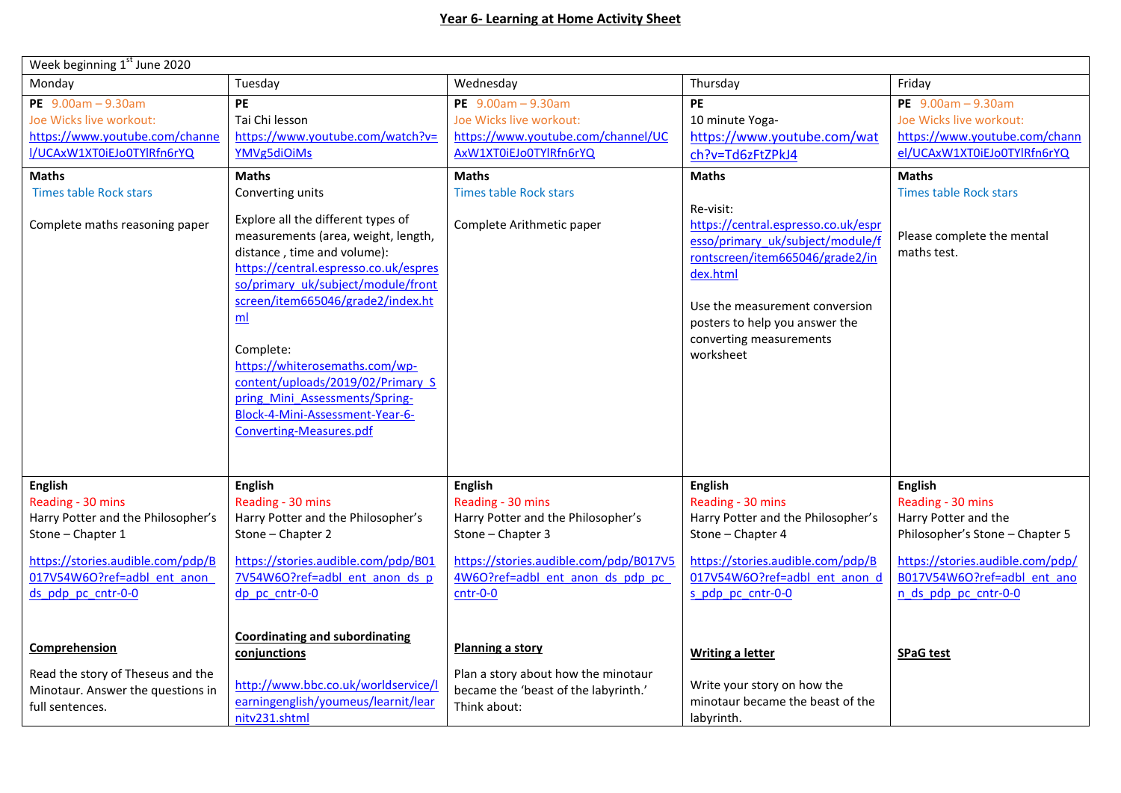| Week beginning 1 <sup>st</sup> June 2020                                                                                                                                                                                                                                                               |                                                                                                                                                                                                                                                                                                                                                                                                                                                                                                                                              |                                                                                                                                                                                                                                                                                                                      |                                                                                                                                                                                                                                                                                                                                                   |                                                                                                                                                                                                               |
|--------------------------------------------------------------------------------------------------------------------------------------------------------------------------------------------------------------------------------------------------------------------------------------------------------|----------------------------------------------------------------------------------------------------------------------------------------------------------------------------------------------------------------------------------------------------------------------------------------------------------------------------------------------------------------------------------------------------------------------------------------------------------------------------------------------------------------------------------------------|----------------------------------------------------------------------------------------------------------------------------------------------------------------------------------------------------------------------------------------------------------------------------------------------------------------------|---------------------------------------------------------------------------------------------------------------------------------------------------------------------------------------------------------------------------------------------------------------------------------------------------------------------------------------------------|---------------------------------------------------------------------------------------------------------------------------------------------------------------------------------------------------------------|
| Monday                                                                                                                                                                                                                                                                                                 | Tuesday                                                                                                                                                                                                                                                                                                                                                                                                                                                                                                                                      | Wednesday                                                                                                                                                                                                                                                                                                            | Thursday                                                                                                                                                                                                                                                                                                                                          | Friday                                                                                                                                                                                                        |
| PE $9.00am - 9.30am$<br>Joe Wicks live workout:<br>https://www.youtube.com/channe<br>I/UCAxW1XT0iEJo0TYlRfn6rYQ<br><b>Maths</b><br><b>Times table Rock stars</b><br>Complete maths reasoning paper                                                                                                     | PE<br>Tai Chi lesson<br>https://www.youtube.com/watch?v=<br>YMVg5diOiMs<br><b>Maths</b><br>Converting units<br>Explore all the different types of<br>measurements (area, weight, length,<br>distance, time and volume):<br>https://central.espresso.co.uk/espres<br>so/primary_uk/subject/module/front<br>screen/item665046/grade2/index.ht<br>ml<br>Complete:<br>https://whiterosemaths.com/wp-<br>content/uploads/2019/02/Primary S<br>pring Mini Assessments/Spring-<br>Block-4-Mini-Assessment-Year-6-<br><b>Converting-Measures.pdf</b> | PE $9.00am - 9.30am$<br>Joe Wicks live workout:<br>https://www.youtube.com/channel/UC<br>AxW1XT0iEJo0TYlRfn6rYQ<br><b>Maths</b><br><b>Times table Rock stars</b><br>Complete Arithmetic paper                                                                                                                        | <b>PE</b><br>10 minute Yoga-<br>https://www.youtube.com/wat<br>ch?v=Td6zFtZPkJ4<br><b>Maths</b><br>Re-visit:<br>https://central.espresso.co.uk/espr<br>esso/primary_uk/subject/module/<br>rontscreen/item665046/grade2/in<br>dex.html<br>Use the measurement conversion<br>posters to help you answer the<br>converting measurements<br>worksheet | PE $9.00am - 9.30am$<br>Joe Wicks live workout:<br>https://www.youtube.com/chann<br>el/UCAxW1XT0iEJo0TYlRfn6rYQ<br><b>Maths</b><br><b>Times table Rock stars</b><br>Please complete the mental<br>maths test. |
| <b>English</b><br>Reading - 30 mins<br>Harry Potter and the Philosopher's<br>Stone - Chapter 1<br>https://stories.audible.com/pdp/B<br>017V54W6O?ref=adbl ent anon<br>ds pdp pc cntr-0-0<br>Comprehension<br>Read the story of Theseus and the<br>Minotaur. Answer the questions in<br>full sentences. | <b>English</b><br>Reading - 30 mins<br>Harry Potter and the Philosopher's<br>Stone - Chapter 2<br>https://stories.audible.com/pdp/B01<br>7V54W6O?ref=adbl ent anon ds p<br>dp pc cntr-0-0<br><b>Coordinating and subordinating</b><br>conjunctions<br>http://www.bbc.co.uk/worldservice/l<br>earningenglish/youmeus/learnit/lear                                                                                                                                                                                                             | <b>English</b><br>Reading - 30 mins<br>Harry Potter and the Philosopher's<br>Stone - Chapter 3<br>https://stories.audible.com/pdp/B017V5<br>4W6O?ref=adbl ent anon ds pdp pc<br>$cntr-0-0$<br><b>Planning a story</b><br>Plan a story about how the minotaur<br>became the 'beast of the labyrinth.'<br>Think about: | English<br>Reading - 30 mins<br>Harry Potter and the Philosopher's<br>Stone - Chapter 4<br>https://stories.audible.com/pdp/B<br>017V54W6O?ref=adbl ent anon d<br>s pdp pc cntr-0-0<br><b>Writing a letter</b><br>Write your story on how the<br>minotaur became the beast of the                                                                  | <b>English</b><br>Reading - 30 mins<br>Harry Potter and the<br>Philosopher's Stone - Chapter 5<br>https://stories.audible.com/pdp/<br>B017V54W6O?ref=adbl ent ano<br>n ds pdp pc cntr-0-0<br><b>SPaG test</b> |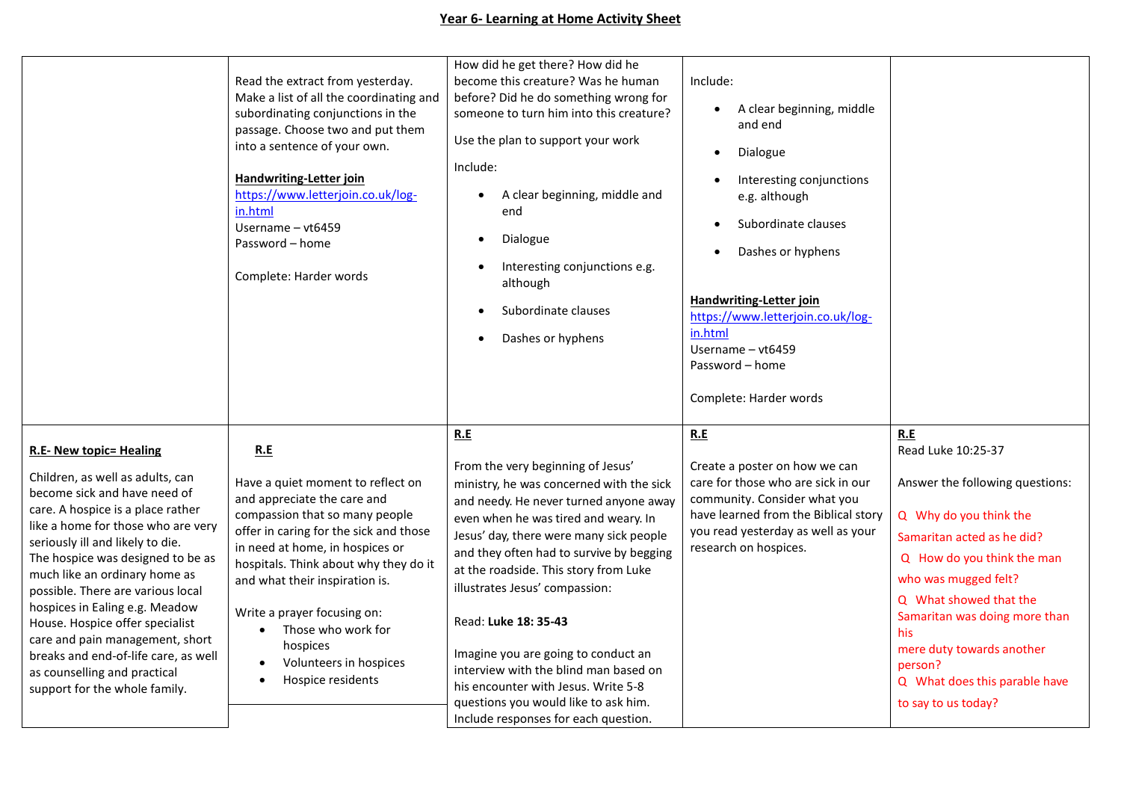|                                                                                                                                                                                                                                                                                                                                                                                                                                                                                                                                               | Read the extract from yesterday.<br>Make a list of all the coordinating and<br>subordinating conjunctions in the<br>passage. Choose two and put them<br>into a sentence of your own.<br><b>Handwriting-Letter join</b><br>https://www.letterjoin.co.uk/log-<br>in.html<br>Username - vt6459<br>Password - home<br>Complete: Harder words                                                                                 | How did he get there? How did he<br>become this creature? Was he human<br>before? Did he do something wrong for<br>someone to turn him into this creature?<br>Use the plan to support your work<br>Include:<br>A clear beginning, middle and<br>end<br>Dialogue<br>$\bullet$<br>Interesting conjunctions e.g.<br>although<br>Subordinate clauses<br>Dashes or hyphens                                                                                                                                                                                                   | Include:<br>A clear beginning, middle<br>$\bullet$<br>and end<br>Dialogue<br>$\bullet$<br>Interesting conjunctions<br>e.g. although<br>Subordinate clauses<br>$\bullet$<br>Dashes or hyphens<br><b>Handwriting-Letter join</b><br>https://www.letterjoin.co.uk/log-<br>in.html<br>Username - vt6459<br>Password - home<br>Complete: Harder words |                                                                                                                                                                                                                                                                                                                                              |
|-----------------------------------------------------------------------------------------------------------------------------------------------------------------------------------------------------------------------------------------------------------------------------------------------------------------------------------------------------------------------------------------------------------------------------------------------------------------------------------------------------------------------------------------------|--------------------------------------------------------------------------------------------------------------------------------------------------------------------------------------------------------------------------------------------------------------------------------------------------------------------------------------------------------------------------------------------------------------------------|-------------------------------------------------------------------------------------------------------------------------------------------------------------------------------------------------------------------------------------------------------------------------------------------------------------------------------------------------------------------------------------------------------------------------------------------------------------------------------------------------------------------------------------------------------------------------|--------------------------------------------------------------------------------------------------------------------------------------------------------------------------------------------------------------------------------------------------------------------------------------------------------------------------------------------------|----------------------------------------------------------------------------------------------------------------------------------------------------------------------------------------------------------------------------------------------------------------------------------------------------------------------------------------------|
| <b>R.E- New topic= Healing</b><br>Children, as well as adults, can<br>become sick and have need of<br>care. A hospice is a place rather<br>like a home for those who are very<br>seriously ill and likely to die.<br>The hospice was designed to be as<br>much like an ordinary home as<br>possible. There are various local<br>hospices in Ealing e.g. Meadow<br>House. Hospice offer specialist<br>care and pain management, short<br>breaks and end-of-life care, as well<br>as counselling and practical<br>support for the whole family. | R.E<br>Have a quiet moment to reflect on<br>and appreciate the care and<br>compassion that so many people<br>offer in caring for the sick and those<br>in need at home, in hospices or<br>hospitals. Think about why they do it<br>and what their inspiration is.<br>Write a prayer focusing on:<br>Those who work for<br>$\bullet$<br>hospices<br>Volunteers in hospices<br>$\bullet$<br>Hospice residents<br>$\bullet$ | R.E<br>From the very beginning of Jesus'<br>ministry, he was concerned with the sick<br>and needy. He never turned anyone away<br>even when he was tired and weary. In<br>Jesus' day, there were many sick people<br>and they often had to survive by begging<br>at the roadside. This story from Luke<br>illustrates Jesus' compassion:<br>Read: Luke 18: 35-43<br>Imagine you are going to conduct an<br>interview with the blind man based on<br>his encounter with Jesus. Write 5-8<br>questions you would like to ask him.<br>Include responses for each question. | R.E<br>Create a poster on how we can<br>care for those who are sick in our<br>community. Consider what you<br>have learned from the Biblical story<br>you read yesterday as well as your<br>research on hospices.                                                                                                                                | R.E<br>Read Luke 10:25-37<br>Answer the following questions:<br>Q Why do you think the<br>Samaritan acted as he did?<br>Q How do you think the man<br>who was mugged felt?<br>Q What showed that the<br>Samaritan was doing more than<br>his<br>mere duty towards another<br>person?<br>Q What does this parable have<br>to say to us today? |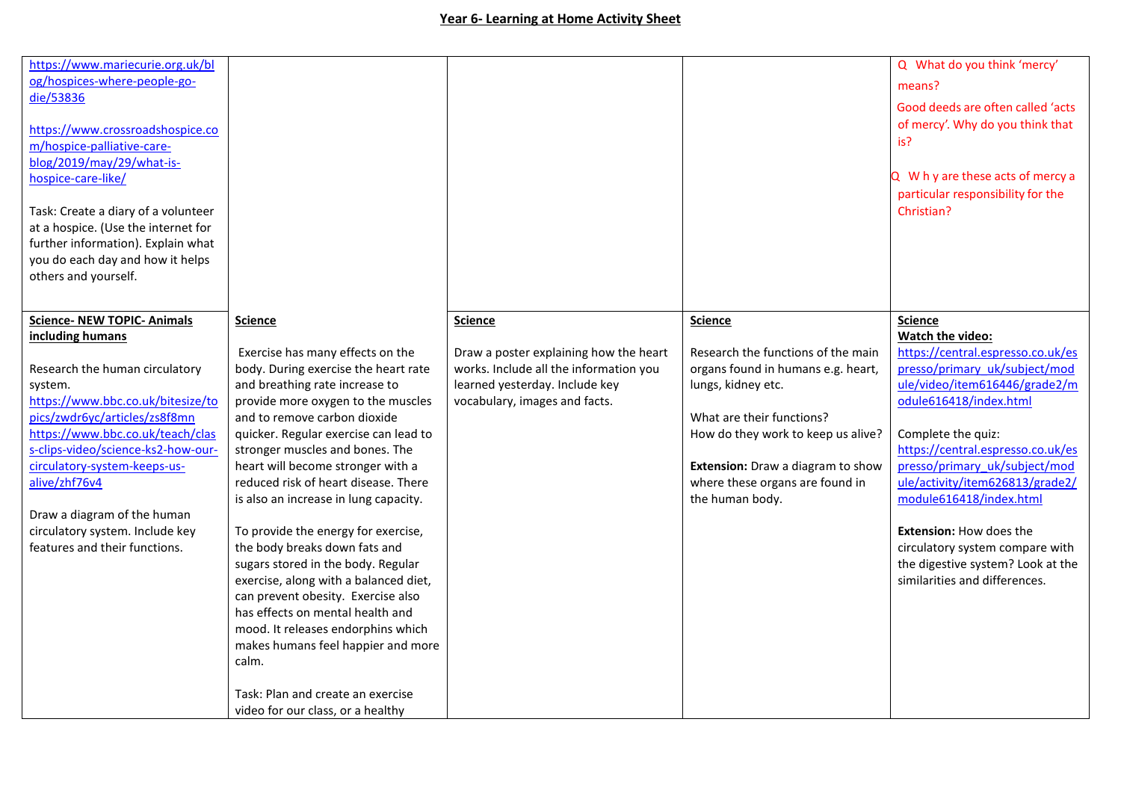| https://www.mariecurie.org.uk/bl<br>og/hospices-where-people-go-<br>die/53836<br>https://www.crossroadshospice.co<br>m/hospice-palliative-care-<br>blog/2019/may/29/what-is-<br>hospice-care-like/<br>Task: Create a diary of a volunteer<br>at a hospice. (Use the internet for<br>further information). Explain what<br>you do each day and how it helps<br>others and yourself.                      |                                                                                                                                                                                                                                                                                                                                                                                                                                                                                                                                                                                                                                                                                                                                                                                                      |                                                                                                                                                                       |                                                                                                                                                                                                                                                                                | Q What do you think 'mercy'<br>means?<br>Good deeds are often called 'acts<br>of mercy'. Why do you think that<br>is?<br>Q W h y are these acts of mercy a<br>particular responsibility for the<br>Christian?                                                                                                                                                                                                                                                            |
|---------------------------------------------------------------------------------------------------------------------------------------------------------------------------------------------------------------------------------------------------------------------------------------------------------------------------------------------------------------------------------------------------------|------------------------------------------------------------------------------------------------------------------------------------------------------------------------------------------------------------------------------------------------------------------------------------------------------------------------------------------------------------------------------------------------------------------------------------------------------------------------------------------------------------------------------------------------------------------------------------------------------------------------------------------------------------------------------------------------------------------------------------------------------------------------------------------------------|-----------------------------------------------------------------------------------------------------------------------------------------------------------------------|--------------------------------------------------------------------------------------------------------------------------------------------------------------------------------------------------------------------------------------------------------------------------------|--------------------------------------------------------------------------------------------------------------------------------------------------------------------------------------------------------------------------------------------------------------------------------------------------------------------------------------------------------------------------------------------------------------------------------------------------------------------------|
| <b>Science- NEW TOPIC- Animals</b><br>including humans<br>Research the human circulatory<br>system.<br>https://www.bbc.co.uk/bitesize/to<br>pics/zwdr6yc/articles/zs8f8mn<br>https://www.bbc.co.uk/teach/clas<br>s-clips-video/science-ks2-how-our-<br>circulatory-system-keeps-us-<br>alive/zhf76v4<br>Draw a diagram of the human<br>circulatory system. Include key<br>features and their functions. | <b>Science</b><br>Exercise has many effects on the<br>body. During exercise the heart rate<br>and breathing rate increase to<br>provide more oxygen to the muscles<br>and to remove carbon dioxide<br>quicker. Regular exercise can lead to<br>stronger muscles and bones. The<br>heart will become stronger with a<br>reduced risk of heart disease. There<br>is also an increase in lung capacity.<br>To provide the energy for exercise,<br>the body breaks down fats and<br>sugars stored in the body. Regular<br>exercise, along with a balanced diet,<br>can prevent obesity. Exercise also<br>has effects on mental health and<br>mood. It releases endorphins which<br>makes humans feel happier and more<br>calm.<br>Task: Plan and create an exercise<br>video for our class, or a healthy | <b>Science</b><br>Draw a poster explaining how the heart<br>works. Include all the information you<br>learned yesterday. Include key<br>vocabulary, images and facts. | <b>Science</b><br>Research the functions of the main<br>organs found in humans e.g. heart,<br>lungs, kidney etc.<br>What are their functions?<br>How do they work to keep us alive?<br>Extension: Draw a diagram to show<br>where these organs are found in<br>the human body. | <b>Science</b><br>Watch the video:<br>https://central.espresso.co.uk/es<br>presso/primary uk/subject/mod<br>ule/video/item616446/grade2/m<br>odule616418/index.html<br>Complete the quiz:<br>https://central.espresso.co.uk/es<br>presso/primary uk/subject/mod<br>ule/activity/item626813/grade2/<br>module616418/index.html<br><b>Extension: How does the</b><br>circulatory system compare with<br>the digestive system? Look at the<br>similarities and differences. |